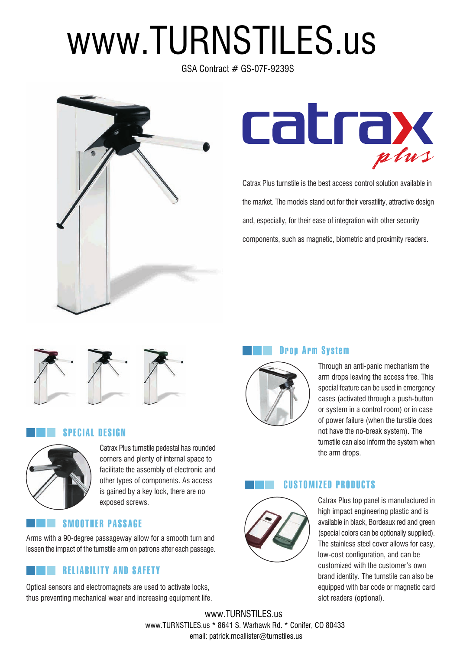# www.TURNSTILES.us

GSA Contract # GS-07F-9239S





Catrax Plus turnstile is the best access control solution available in the market. The models stand out for their versatility, attractive design and, especially, for their ease of integration with other security components, such as magnetic, biometric and proximity readers.



#### SPECIAL DESIGN



Catrax Plus turnstile pedestal has rounded corners and plenty of internal space to facilitate the assembly of electronic and other types of components. As access is gained by a key lock, there are no exposed screws.

### SMOOTHER PASSAGE

Arms with a 90-degree passageway allow for a smooth turn and lessen the impact of the turnstile arm on patrons after each passage.

# RELIABILITY AND SAFETY

Optical sensors and electromagnets are used to activate locks, thus preventing mechanical wear and increasing equipment life. Drop Arm System



Through an anti-panic mechanism the arm drops leaving the access free. This special feature can be used in emergency cases (activated through a push-button or system in a control room) or in case of power failure (when the turstile does not have the no-break system). The turnstile can also inform the system when the arm drops.



CUSTOMIZED PRODUCTS

Catrax Plus top panel is manufactured in high impact engineering plastic and is available in black, Bordeaux red and green (special colors can be optionally supplied). The stainless steel cover allows for easy, low-cost configuration, and can be customized with the customer's own brand identity. The turnstile can also be equipped with bar code or magnetic card slot readers (optional).

www.TURNSTILES.us \* 8641 S. Warhawk Rd. \* Conifer, CO 80433 www.TURNSTILES.us email: patrick.mcallister@turnstiles.us